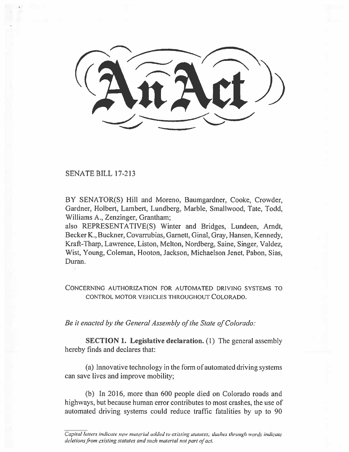SENATE BILL 17-213

BY SENATOR(S) Hill and Moreno, Baumgardner, Cooke. Crowder, Gardner, Holbert, Lambert, Lundberg, Marble, Smallwood, Tate, Todd, Williams A., Zenzinger, Grantham;

also REPRESENTATIVE(S) Winter and Bridges, Lundeen, Arndt, Becker K., Buckner, Covarrubias, Garnett, Ginal, Gray, Hansen, Kennedy, Kraft-Tharp, Lawrence, Liston, Melton, Nordberg, Saine, Singer, Valdez, Wist, Young, Coleman, Hooton, Jackson, Michaelson Jenet, Pabon, Sias, Duran.

CONCERNING AUTHORIZATION FOR AUTOMATED DRIVING SYSTEMS TO CONTROL MOTOR VEHICLES THROUGHOUT COLORADO.

*Be it enacted by the General Assembly of the State of Colorado:* 

**SECTION 1. Legislative declaration.** (1) The general assembly hereby finds and declares that:

(a) Innovative technology in the form **of** automated driving systems can save **lives** and improve mobility;

(b) In 2016, more than 600 people died on Colorado roads and highways, but because human error contributes to most crashes, the use of automated driving systems could reduce traffic fatalities by up to 90

*Capital letters indicate new material added to existing statutes; dashes through words indicate deletions from existing statutes and such material not part of act.*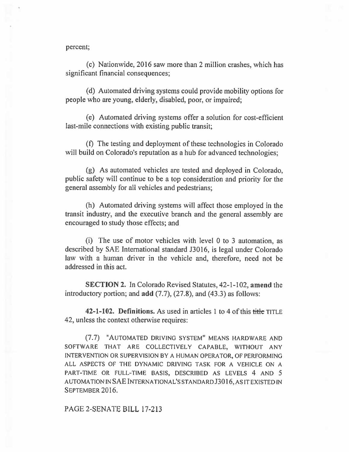percent;

(c) Nationwide, 2016 saw more than 2 million crashes, which has significant financial consequences;

(d) Automated driving systems could provide mobility options for people who are young, elderly, disabled, poor, or impaired;

(e) Automated driving systems offer a solution for cost-efficient last-mile connections with existing public transit;

(f) The testing and deployment of these technologies in Colorado will build on Colorado's reputation as a hub for advanced technologies;

(g) As automated vehicles are tested and deployed in Colorado, public safety will continue to be a top consideration and priority for the general assembly for all vehicles and pedestrians;

(h) Automated driving systems will affect those employed in the transit industry, and the executive branch and the general assembly are encouraged to study those effects; and

(i) The use of motor vehicles with level **0 to 3** automation, as described by SAE International standard J3016, is legal under Colorado law with a human driver in the vehicle and, therefore, need not be addressed in this act.

SECTION 2. In Colorado Revised Statutes, 42-1-102, amend the introductory portion; and **add** (7.7), (27.8), and (43.3) as **follows:** 

**42-1-102. Definitions.** As used in articles 1 to 4 of this title TITLE 42, unless the context otherwise **requires:** 

(7.7) "AUTOMATED DRIVING SYSTEM" MEANS HARDWARE AND SOFTWARE THAT ARE COLLECTIVELY CAPABLE, WITHOUT ANY INTERVENTION OR SUPERVISION BY A HUMAN OPERATOR, OF PERFORMING ALL ASPECTS OF THE DYNAMIC DRIVING TASK FOR A VEHICLE ON A PART-TIME OR FULL-TIME BASIS, DESCRIBED AS LEVELS 4 AND 5 AUTOMATION IN **SAE** INTERNATIONAL'S STANDARD **J3016,** AS IT EXISTED IN SEPTEMBER 2016.

PAGE 2-SENATE BILL 17-213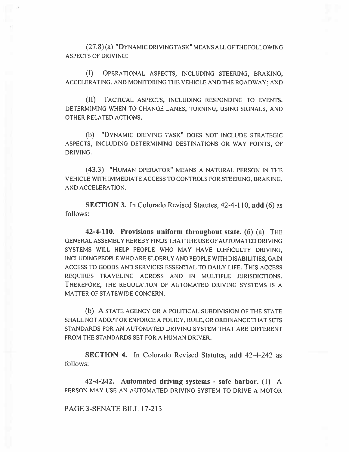(27.8)(a) "DYNAMIC DRIVING TASK" MEANS ALL OF THE FOLLOWING ASPECTS OF DRIVING:

(I) OPERATIONAL ASPECTS, INCLUDING STEERING, BRAKING, ACCELERATING, AND MONITORING THE VEHICLE AND THE ROADWAY; AND

(II) TACTICAL ASPECTS, INCLUDING RESPONDING TO EVENTS, DETERMINING WHEN TO CHANGE LANES, TURNING, USING SIGNALS, AND OTHER RELATED ACTIONS.

(b) "DYNAMIC DRIVING TASK" DOES NOT INCLUDE STRATEGIC ASPECTS, INCLUDING DETERMINING DESTINATIONS OR WAY POINTS, OF DRIVING.

(43.3) "HUMAN OPERATOR" MEANS A NATURAL PERSON IN THE VEHICLE WITH IMMEDIATE ACCESS TO CONTROLS FOR STEERING, BRAKING, AND ACCELERATION.

**SECTION 3.** In Colorado Revised Statutes, 42-4-110, **add** (6) as follows:

**42-4-110. Provisions uniform throughout state.** (6) (a) THE GENERAL ASSEMBLY HEREBY FINDS THAT THE USE OF AUTOMATED DRIVING SYSTEMS WILL HELP PEOPLE WHO MAY HAVE DIFFICULTY DRIVING, INCLUDING PEOPLE WHO ARE ELDERLY AND PEOPLE WITH DISABILITIES, GAIN ACCESS TO GOODS AND SERVICES ESSENTIAL TO DAILY LIFE. THIS ACCESS REQUIRES TRAVELING ACROSS AND IN MULTIPLE JURISDICTIONS. THEREFORE, THE REGULATION OF AUTOMATED DRIVING SYSTEMS IS A MATTER OF STATEWIDE CONCERN.

(b) A STATE AGENCY OR A POLITICAL SUBDIVISION OF THE STATE SHALL NOT ADOPT OR ENFORCE A POLICY, RULE, OR ORDINANCE THAT SETS STANDARDS FOR AN AUTOMATED DRIVING SYSTEM THAT ARE DIFFERENT FROM THE STANDARDS SET FOR A HUMAN DRIVER.

**SECTION 4.** In Colorado Revised Statutes, **add** 42-4-242 as follows:

**42-4-242. Automated driving systems - safe harbor. (1)** A PERSON MAY USE AN AUTOMATED DRIVING SYSTEM TO DRIVE A MOTOR

PAGE 3-SENATE BILL 17-213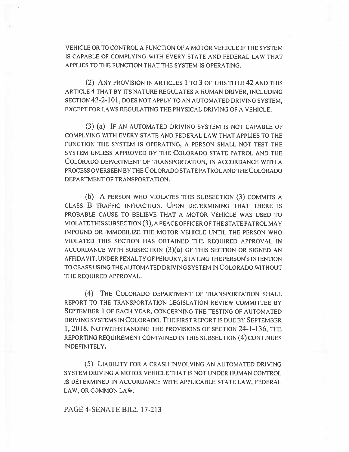VEHICLE OR TO CONTROL A FUNCTION OF A MOTOR VEHICLE IF THE SYSTEM IS CAPABLE OF COMPLYING WITH EVERY STATE AND FEDERAL LAW THAT APPLIES TO THE FUNCTION THAT THE SYSTEM IS OPERATING.

(2) ANY PROVISION IN ARTICLES 1 TO 3 OF THIS TITLE 42 AND THIS ARTICLE 4 THAT BY ITS NATURE REGULATES A HUMAN DRIVER, INCLUDING SECTION 42-2-101, DOES NOT APPLY TO AN AUTOMATED DRIVING SYSTEM, EXCEPT FOR LAWS REGULATING THE PHYSICAL DRIVING OF A VEHICLE.

(3) (a) IF AN AUTOMATED DRIVING SYSTEM IS NOT CAPABLE OF COMPLYING WITH EVERY STATE AND FEDERAL LAW THAT APPLIES TO THE FUNCTION THE SYSTEM IS OPERATING, A PERSON SHALL NOT TEST THE SYSTEM UNLESS APPROVED BY THE COLORADO STATE PATROL AND THE COLORADO DEPARTMENT OF TRANSPORTATION, IN ACCORDANCE WITH A PROCESS OVERSEEN BY THE COLORADO STATE PATROL AND THE COLORADO DEPARTMENT OF TRANSPORTATION.

(b) A PERSON WHO VIOLATES THIS SUBSECTION (3) COMMITS A CLASS B TRAFFIC INFRACTION. UPON DETERMINING THAT THERE IS PROBABLE CAUSE TO BELIEVE THAT A MOTOR VEHICLE WAS USED TO VIOLATE THIS SUBSECTION (3), A PEACE OFFICER OF THE STATE PATROL MAY IMPOUND OR IMMOBILIZE THE MOTOR VEHICLE UNTIL THE PERSON WHO VIOLATED THIS SECTION HAS OBTAINED THE REQUIRED APPROVAL IN ACCORDANCE WITH SUBSECTION  $(3)(a)$  OF THIS SECTION OR SIGNED AN AFFIDAVIT, UNDER PENALTY OF PERJURY, STATING THE PERSON'S INTENTION TO CEASE USING THE AUTOMATED DRIVING SYSTEM IN COLORADO WITHOUT THE REQUIRED APPROVAL.

(4) THE COLORADO DEPARTMENT OF TRANSPORTATION SHALL REPORT TO THE TRANSPORTATION LEGISLATION REVIEW COMMITTEE BY SEPTEMBER 1 OF EACH YEAR, CONCERNING THE TESTING OF AUTOMATED DRIVING SYSTEMS IN COLORADO. THE FIRST REPORT IS DUE BY SEPTEMBER 1, 2018. NOTWITHSTANDING THE PROVISIONS OF SECTION 24-1-136, THE REPORTING REQUIREMENT CONTAINED IN THIS SUBSECTION (4) CONTINUES INDEFINITELY.

(5) LIABILITY FOR A CRASH INVOLVING AN AUTOMATED DRIVING SYSTEM DRIVING A MOTOR VEHICLE THAT IS NOT UNDER HUMAN CONTROL IS DETERMINED IN ACCORDANCE WITH APPLICABLE STATE LAW, FEDERAL LAW, OR COMMON LAW.

## PAGE 4-SENATE BILL 17-213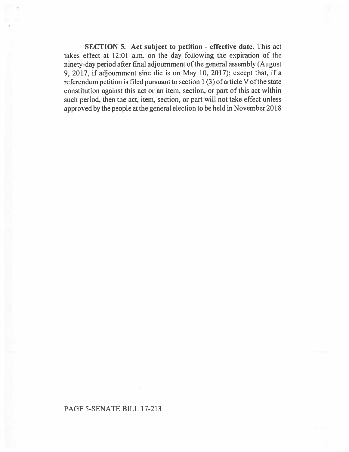**SECTION 5. Act subject to petition - effective date.** This act takes effect at 12:01 a.m. on the day following the expiration of the ninety-day period after final adjournment of the general assembly (August 9, 2017, if adjournment sine die is on May 10, 2017); except that, if a referendum petition is filed pursuant to section 1 (3) of article V of the state constitution against this act or **an** item, section, or part of this act within such period, then the act, item, section, or part will not take effect unless approved by the people at the general election to be held in November 2018

## PAGE 5-SENATE **BILL 17-213**